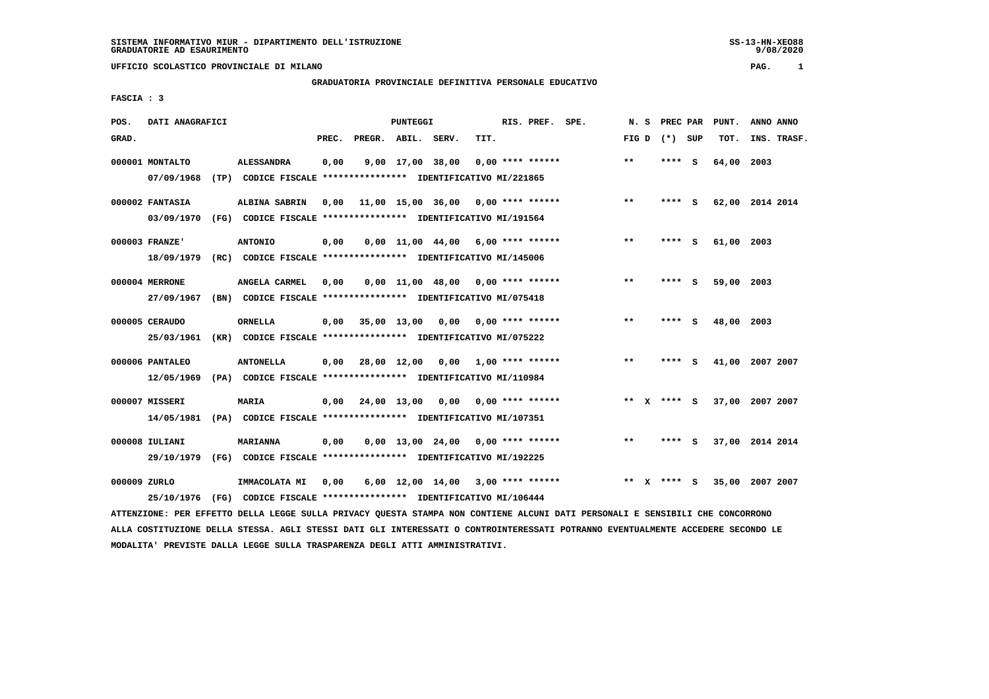# **GRADUATORIA PROVINCIALE DEFINITIVA PERSONALE EDUCATIVO**

 **FASCIA : 3**

| POS.         | DATI ANAGRAFICI |                                                                                                                               |       |                    | PUNTEGGI |                                                  |      | RIS. PREF. | SPE. | N.S          |    | <b>PREC PAR</b> |     | PUNT.           | ANNO ANNO |             |
|--------------|-----------------|-------------------------------------------------------------------------------------------------------------------------------|-------|--------------------|----------|--------------------------------------------------|------|------------|------|--------------|----|-----------------|-----|-----------------|-----------|-------------|
| GRAD.        |                 |                                                                                                                               | PREC. | PREGR. ABIL. SERV. |          |                                                  | TIT. |            |      | FIG D        |    | (*) SUP         |     | TOT.            |           | INS. TRASF. |
|              | 000001 MONTALTO | <b>ALESSANDRA</b>                                                                                                             | 0,00  |                    |          | $9,00$ 17,00 38,00 0,00 **** ******              |      |            |      | $***$        |    | $***$ S         |     | 64,00 2003      |           |             |
|              | 07/09/1968      | (TP) CODICE FISCALE **************** IDENTIFICATIVO MI/221865                                                                 |       |                    |          |                                                  |      |            |      |              |    |                 |     |                 |           |             |
|              | 000002 FANTASIA | ALBINA SABRIN                                                                                                                 | 0.00  |                    |          | $11,00$ $15,00$ $36,00$ $0,00$ $***$ **** ****** |      |            |      | $\star\star$ |    | ****            | - S | 62,00 2014 2014 |           |             |
|              | 03/09/1970      | (FG) CODICE FISCALE **************** IDENTIFICATIVO MI/191564                                                                 |       |                    |          |                                                  |      |            |      |              |    |                 |     |                 |           |             |
|              | 000003 FRANZE'  | <b>ANTONIO</b>                                                                                                                | 0,00  |                    |          | $0,00$ 11,00 44,00 6,00 **** ******              |      |            |      | $***$        |    | ****            | s   | 61,00 2003      |           |             |
|              | 18/09/1979      | (RC) CODICE FISCALE *************** IDENTIFICATIVO MI/145006                                                                  |       |                    |          |                                                  |      |            |      |              |    |                 |     |                 |           |             |
|              | 000004 MERRONE  | ANGELA CARMEL                                                                                                                 | 0,00  |                    |          | $0,00$ 11,00 48,00 0,00 **** ******              |      |            |      | $* *$        |    | **** S          |     | 59,00 2003      |           |             |
|              | 27/09/1967      | (BN) CODICE FISCALE **************** IDENTIFICATIVO MI/075418                                                                 |       |                    |          |                                                  |      |            |      |              |    |                 |     |                 |           |             |
|              | 000005 CERAUDO  | <b>ORNELLA</b>                                                                                                                | 0,00  |                    |          | 35,00 13,00 0,00 0,00 **** ******                |      |            |      | $\star\star$ |    | ****            | - S | 48,00 2003      |           |             |
|              | 25/03/1961      | (KR) CODICE FISCALE **************** IDENTIFICATIVO MI/075222                                                                 |       |                    |          |                                                  |      |            |      |              |    |                 |     |                 |           |             |
|              | 000006 PANTALEO | <b>ANTONELLA</b>                                                                                                              | 0,00  |                    |          | 28,00 12,00 0,00 1,00 **** ******                |      |            |      | $***$        |    | ****            | S.  | 41,00 2007 2007 |           |             |
|              | 12/05/1969      | (PA) CODICE FISCALE *************** IDENTIFICATIVO MI/110984                                                                  |       |                    |          |                                                  |      |            |      |              |    |                 |     |                 |           |             |
|              | 000007 MISSERI  | <b>MARIA</b>                                                                                                                  | 0,00  |                    |          | 24,00 13,00 0,00 0,00 **** ******                |      |            |      |              |    | ** x **** s     |     | 37,00 2007 2007 |           |             |
|              | 14/05/1981      | (PA) CODICE FISCALE **************** IDENTIFICATIVO MI/107351                                                                 |       |                    |          |                                                  |      |            |      |              |    |                 |     |                 |           |             |
|              | 000008 IULIANI  | <b>MARIANNA</b>                                                                                                               | 0,00  |                    |          | $0.00$ 13.00 24.00 0.00 **** ******              |      |            |      | $***$        |    | **** S          |     | 37,00 2014 2014 |           |             |
|              | 29/10/1979      | (FG) CODICE FISCALE **************** IDENTIFICATIVO MI/192225                                                                 |       |                    |          |                                                  |      |            |      |              |    |                 |     |                 |           |             |
| 000009 ZURLO |                 | IMMACOLATA MI                                                                                                                 | 0,00  |                    |          | $6,00$ 12,00 14,00 3,00 **** ******              |      |            |      | $***$        | X. | **** S          |     | 35,00 2007 2007 |           |             |
|              | 25/10/1976      | (FG) CODICE FISCALE **************** IDENTIFICATIVO MI/106444                                                                 |       |                    |          |                                                  |      |            |      |              |    |                 |     |                 |           |             |
|              |                 | ATTENZIONE: PER EFFETTO DELLA LEGGE SULLA PRIVACY QUESTA STAMPA NON CONTIENE ALCUNI DATI PERSONALI E SENSIBILI CHE CONCORRONO |       |                    |          |                                                  |      |            |      |              |    |                 |     |                 |           |             |

 **ALLA COSTITUZIONE DELLA STESSA. AGLI STESSI DATI GLI INTERESSATI O CONTROINTERESSATI POTRANNO EVENTUALMENTE ACCEDERE SECONDO LE MODALITA' PREVISTE DALLA LEGGE SULLA TRASPARENZA DEGLI ATTI AMMINISTRATIVI.**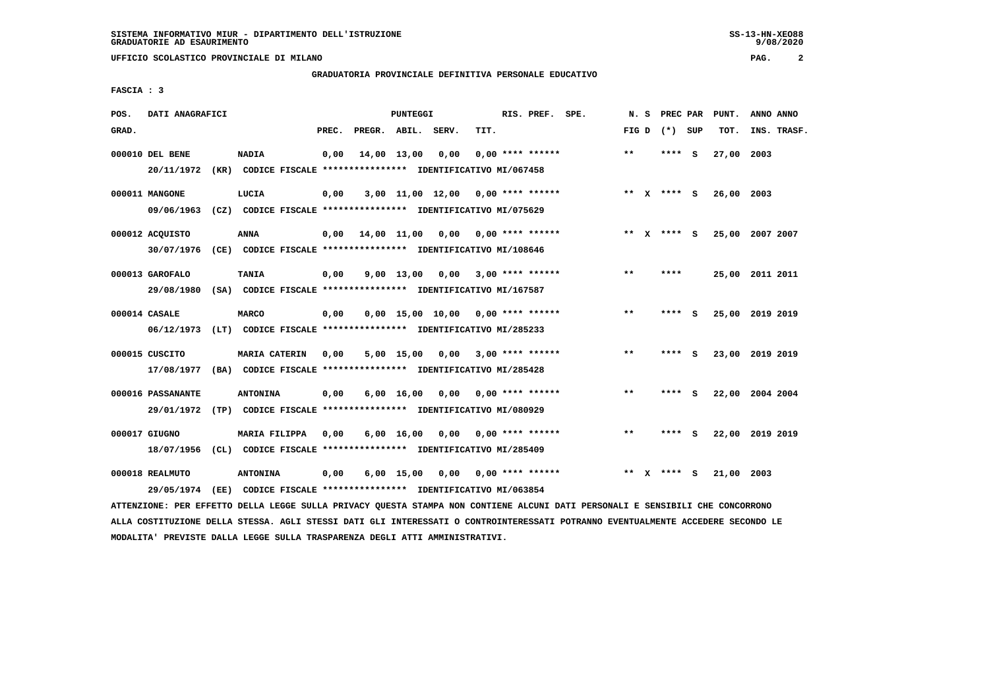### **GRADUATORIA PROVINCIALE DEFINITIVA PERSONALE EDUCATIVO**

 **FASCIA : 3**

| POS.  | DATI ANAGRAFICI   |      |                                                               |       |                    | <b>PUNTEGGI</b>    |      |      | RIS. PREF. SPE.                     |       | N.S | PREC PAR      |     | PUNT.      | ANNO ANNO       |
|-------|-------------------|------|---------------------------------------------------------------|-------|--------------------|--------------------|------|------|-------------------------------------|-------|-----|---------------|-----|------------|-----------------|
| GRAD. |                   |      |                                                               | PREC. | PREGR. ABIL. SERV. |                    |      | TIT. |                                     | FIG D |     | $(*)$         | SUP | TOT.       | INS. TRASF.     |
|       | 000010 DEL BENE   |      | <b>NADIA</b>                                                  | 0,00  |                    | 14,00 13,00        | 0,00 |      | $0,00$ **** ******                  | $* *$ |     | ****          | - S | 27,00 2003 |                 |
|       | 20/11/1972        |      | (KR) CODICE FISCALE **************** IDENTIFICATIVO MI/067458 |       |                    |                    |      |      |                                     |       |     |               |     |            |                 |
|       | 000011 MANGONE    |      | LUCIA                                                         | 0,00  |                    |                    |      |      | $3,00$ 11,00 12,00 0,00 **** ****** |       |     | ** x **** S   |     | 26,00 2003 |                 |
|       | 09/06/1963        |      | (CZ) CODICE FISCALE **************** IDENTIFICATIVO MI/075629 |       |                    |                    |      |      |                                     |       |     |               |     |            |                 |
|       | 000012 ACQUISTO   |      | <b>ANNA</b>                                                   | 0,00  |                    | 14,00 11,00        |      |      | $0,00$ $0,00$ **** ******           |       |     | ** $X$ **** S |     | 25,00      | 2007 2007       |
|       | 30/07/1976        |      | (CE) CODICE FISCALE **************** IDENTIFICATIVO MI/108646 |       |                    |                    |      |      |                                     |       |     |               |     |            |                 |
|       | 000013 GAROFALO   |      | <b>TANIA</b>                                                  | 0,00  |                    | $9,00$ 13,00       | 0.00 |      | $3,00$ **** ******                  | $***$ |     | ****          |     |            | 25,00 2011 2011 |
|       | 29/08/1980        |      | (SA) CODICE FISCALE **************** IDENTIFICATIVO MI/167587 |       |                    |                    |      |      |                                     |       |     |               |     |            |                 |
|       | 000014 CASALE     |      | <b>MARCO</b>                                                  | 0,00  |                    |                    |      |      | $0,00$ 15,00 10,00 0,00 **** ****** | $* *$ |     | ****          | - S |            | 25,00 2019 2019 |
|       | 06/12/1973        |      | (LT) CODICE FISCALE **************** IDENTIFICATIVO MI/285233 |       |                    |                    |      |      |                                     |       |     |               |     |            |                 |
|       | 000015 CUSCITO    |      | <b>MARIA CATERIN</b>                                          | 0,00  |                    | 5,00 15,00         | 0,00 |      | $3,00$ **** ******                  | $* *$ |     | **** S        |     |            | 23,00 2019 2019 |
|       | 17/08/1977        |      | (BA) CODICE FISCALE **************** IDENTIFICATIVO MI/285428 |       |                    |                    |      |      |                                     |       |     |               |     |            |                 |
|       | 000016 PASSANANTE |      | <b>ANTONINA</b>                                               | 0,00  |                    | $6,00 \quad 16,00$ | 0,00 |      | $0.00$ **** ******                  | $***$ |     | **** S        |     |            | 22,00 2004 2004 |
|       | 29/01/1972        |      | (TP) CODICE FISCALE **************** IDENTIFICATIVO MI/080929 |       |                    |                    |      |      |                                     |       |     |               |     |            |                 |
|       |                   |      |                                                               |       |                    |                    |      |      |                                     |       |     |               |     |            |                 |
|       | 000017 GIUGNO     |      | MARIA FILIPPA                                                 | 0,00  |                    | 6,00 16,00         | 0,00 |      | 0,00 **** ******                    | $* *$ |     | ****          | - S |            | 22,00 2019 2019 |
|       | 18/07/1956        |      | (CL) CODICE FISCALE **************** IDENTIFICATIVO MI/285409 |       |                    |                    |      |      |                                     |       |     |               |     |            |                 |
|       | 000018 REALMUTO   |      | <b>ANTONINA</b>                                               | 0,00  |                    | $6,00$ 15,00       |      |      | $0,00$ $0,00$ **** ******           | $* *$ | x   | **** S        |     | 21,00 2003 |                 |
|       | 29/05/1974        | (EE) | CODICE FISCALE **************** IDENTIFICATIVO MI/063854      |       |                    |                    |      |      |                                     |       |     |               |     |            |                 |

 **ATTENZIONE: PER EFFETTO DELLA LEGGE SULLA PRIVACY QUESTA STAMPA NON CONTIENE ALCUNI DATI PERSONALI E SENSIBILI CHE CONCORRONO ALLA COSTITUZIONE DELLA STESSA. AGLI STESSI DATI GLI INTERESSATI O CONTROINTERESSATI POTRANNO EVENTUALMENTE ACCEDERE SECONDO LE MODALITA' PREVISTE DALLA LEGGE SULLA TRASPARENZA DEGLI ATTI AMMINISTRATIVI.**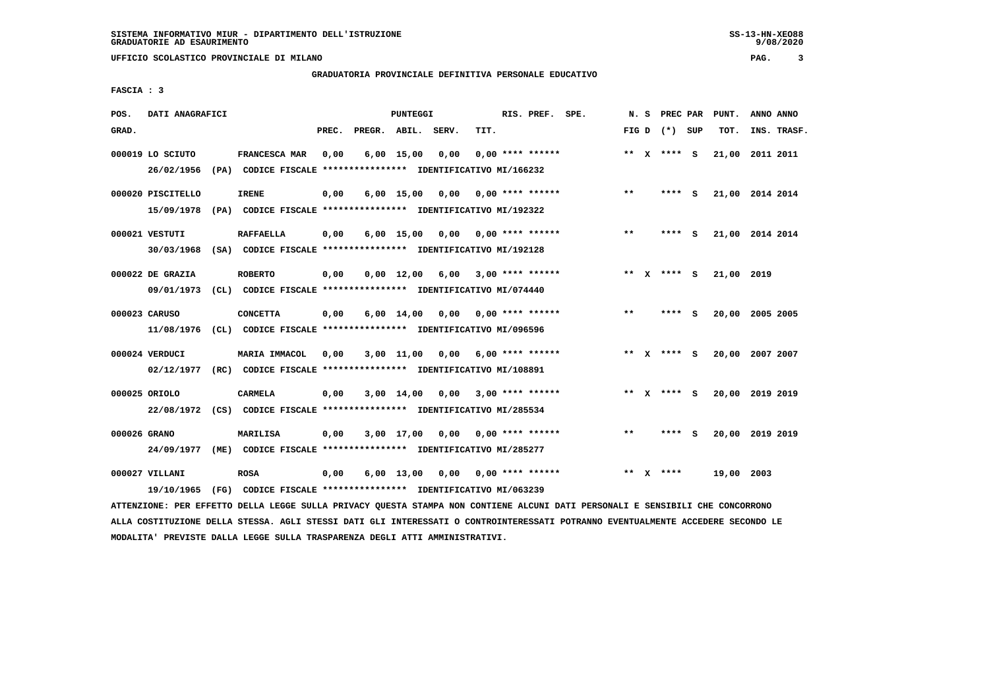# **GRADUATORIA PROVINCIALE DEFINITIVA PERSONALE EDUCATIVO**

 **FASCIA : 3**

| POS.         | DATI ANAGRAFICI   |                                                                         |       |                    | PUNTEGGI           |      |                           | RIS. PREF. SPE.    |       | N.S | PREC PAR        |     | PUNT.      | ANNO ANNO       |
|--------------|-------------------|-------------------------------------------------------------------------|-------|--------------------|--------------------|------|---------------------------|--------------------|-------|-----|-----------------|-----|------------|-----------------|
| GRAD.        |                   |                                                                         | PREC. | PREGR. ABIL. SERV. |                    |      | TIT.                      |                    |       |     | FIG D $(*)$ SUP |     | TOT.       | INS. TRASF.     |
|              | 000019 LO SCIUTO  | FRANCESCA MAR                                                           | 0,00  |                    | $6,00$ 15,00       | 0,00 |                           | $0.00$ **** ****** |       |     | ** $X$ **** S   |     |            | 21,00 2011 2011 |
|              | 26/02/1956        | (PA) CODICE FISCALE **************** IDENTIFICATIVO MI/166232           |       |                    |                    |      |                           |                    |       |     |                 |     |            |                 |
|              | 000020 PISCITELLO | <b>IRENE</b>                                                            | 0,00  |                    | $6,00$ 15,00       | 0,00 | 0,00 **** ******          |                    | $* *$ |     | **** S          |     |            | 21,00 2014 2014 |
|              | 15/09/1978        | (PA) CODICE FISCALE **************** IDENTIFICATIVO MI/192322           |       |                    |                    |      |                           |                    |       |     |                 |     |            |                 |
|              | 000021 VESTUTI    | <b>RAFFAELLA</b>                                                        | 0,00  |                    | $6,00$ 15,00       | 0,00 | 0,00 **** ******          |                    | $***$ |     | ****            | - S |            | 21,00 2014 2014 |
|              | 30/03/1968        | (SA) CODICE FISCALE **************** IDENTIFICATIVO MI/192128           |       |                    |                    |      |                           |                    |       |     |                 |     |            |                 |
|              | 000022 DE GRAZIA  | <b>ROBERTO</b>                                                          | 0,00  |                    | $0,00 \quad 12,00$ | 6,00 |                           | $3,00$ **** ****** |       |     | ** $X$ **** S   |     | 21,00 2019 |                 |
|              | 09/01/1973        | (CL) CODICE FISCALE **************** IDENTIFICATIVO MI/074440           |       |                    |                    |      |                           |                    |       |     |                 |     |            |                 |
|              | 000023 CARUSO     | <b>CONCETTA</b>                                                         | 0,00  |                    | 6,00 14,00         | 0,00 | 0,00 **** ******          |                    | $* *$ |     | ****            | - S |            | 20,00 2005 2005 |
|              | 11/08/1976        | (CL) CODICE FISCALE *************** IDENTIFICATIVO MI/096596            |       |                    |                    |      |                           |                    |       |     |                 |     |            |                 |
|              | 000024 VERDUCI    | MARIA IMMACOL                                                           | 0.00  |                    | $3,00$ $11,00$     | 0,00 |                           | $6.00$ **** ****** |       |     | ** x **** s     |     | 20,00      | 2007 2007       |
|              | 02/12/1977        | (RC) CODICE FISCALE **************** IDENTIFICATIVO MI/108891           |       |                    |                    |      |                           |                    |       |     |                 |     |            |                 |
|              | 000025 ORIOLO     | <b>CARMELA</b>                                                          | 0,00  |                    | 3,00 14,00         | 0,00 |                           | $3,00$ **** ****** |       |     | ** x **** s     |     |            | 20,00 2019 2019 |
|              |                   | 22/08/1972 (CS) CODICE FISCALE *************** IDENTIFICATIVO MI/285534 |       |                    |                    |      |                           |                    |       |     |                 |     |            |                 |
| 000026 GRANO |                   | <b>MARILISA</b>                                                         | 0,00  |                    | 3,00 17,00         | 0,00 | 0,00 **** ******          |                    | $**$  |     | **** S          |     |            | 20,00 2019 2019 |
|              | 24/09/1977        | (ME) CODICE FISCALE **************** IDENTIFICATIVO MI/285277           |       |                    |                    |      |                           |                    |       |     |                 |     |            |                 |
|              | 000027 VILLANI    | <b>ROSA</b>                                                             | 0,00  |                    | $6,00$ 13,00       |      | $0.00$ $0.00$ **** ****** |                    | $* *$ |     | $X$ ****        |     | 19,00 2003 |                 |
|              | 19/10/1965        | (FG) CODICE FISCALE **************** IDENTIFICATIVO MI/063239           |       |                    |                    |      |                           |                    |       |     |                 |     |            |                 |

 **ATTENZIONE: PER EFFETTO DELLA LEGGE SULLA PRIVACY QUESTA STAMPA NON CONTIENE ALCUNI DATI PERSONALI E SENSIBILI CHE CONCORRONO ALLA COSTITUZIONE DELLA STESSA. AGLI STESSI DATI GLI INTERESSATI O CONTROINTERESSATI POTRANNO EVENTUALMENTE ACCEDERE SECONDO LE MODALITA' PREVISTE DALLA LEGGE SULLA TRASPARENZA DEGLI ATTI AMMINISTRATIVI.**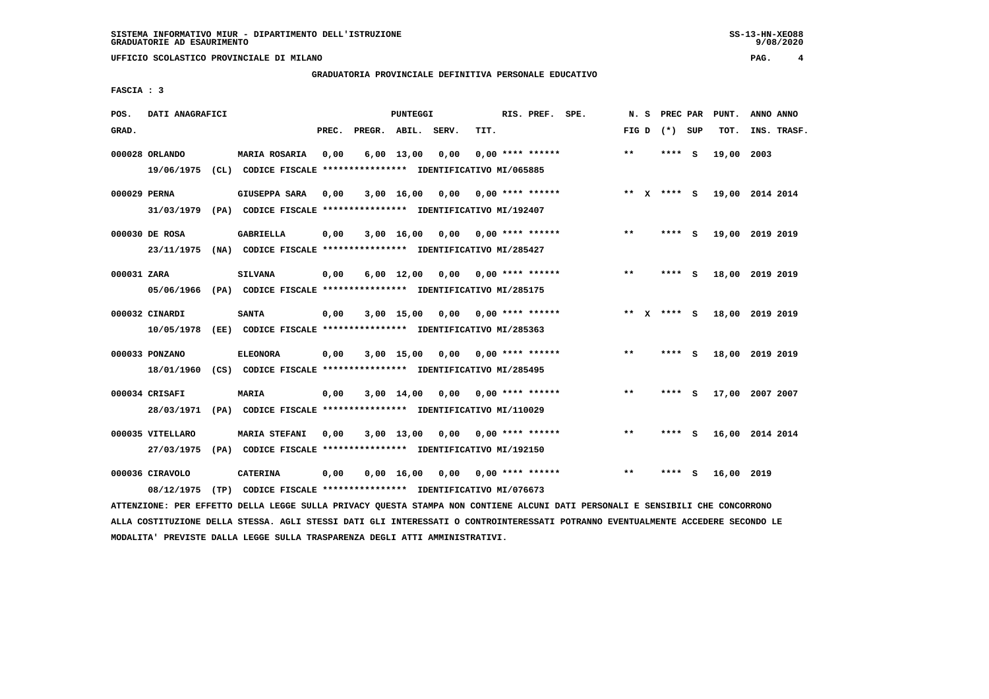## **GRADUATORIA PROVINCIALE DEFINITIVA PERSONALE EDUCATIVO**

 **FASCIA : 3**

| POS.         | DATI ANAGRAFICI                |                                                                                       |       |              | <b>PUNTEGGI</b>    |       |      | RIS. PREF.         | SPE. | N.S     | PREC PAR      |     | PUNT.      | ANNO ANNO       |
|--------------|--------------------------------|---------------------------------------------------------------------------------------|-------|--------------|--------------------|-------|------|--------------------|------|---------|---------------|-----|------------|-----------------|
| GRAD.        |                                |                                                                                       | PREC. | PREGR. ABIL. |                    | SERV. | TIT. |                    |      | FIG D   | (*) SUP       |     | TOT.       | INS. TRASF.     |
|              | 000028 ORLANDO<br>19/06/1975   | <b>MARIA ROSARIA</b><br>(CL) CODICE FISCALE **************** IDENTIFICATIVO MI/065885 | 0,00  |              | $6,00 \quad 13,00$ | 0,00  |      | $0.00$ **** ****** |      | $* *$   | ****          | - S | 19,00      | 2003            |
| 000029 PERNA | 31/03/1979                     | GIUSEPPA SARA<br>(PA) CODICE FISCALE **************** IDENTIFICATIVO MI/192407        | 0,00  |              | 3,00 16,00         | 0,00  |      | $0.00$ **** ****** |      | $***$ X | **** S        |     |            | 19,00 2014 2014 |
|              | 000030 DE ROSA<br>23/11/1975   | <b>GABRIELLA</b><br>(NA) CODICE FISCALE **************** IDENTIFICATIVO MI/285427     | 0,00  |              | 3,00 16,00         | 0,00  |      | 0,00 **** ******   |      | $***$   | ****          | - S |            | 19,00 2019 2019 |
| 000031 ZARA  | 05/06/1966                     | <b>SILVANA</b><br>(PA) CODICE FISCALE **************** IDENTIFICATIVO MI/285175       | 0,00  |              | $6,00$ 12,00       | 0,00  |      | $0.00$ **** ****** |      | $***$   |               | - S | 18,00      | 2019 2019       |
|              | 000032 CINARDI<br>10/05/1978   | <b>SANTA</b><br>(EE) CODICE FISCALE **************** IDENTIFICATIVO MI/285363         | 0,00  |              | $3,00$ 15,00       | 0,00  |      | $0.00$ **** ****** |      |         | ** $X$ **** S |     |            | 18,00 2019 2019 |
|              | 000033 PONZANO<br>18/01/1960   | <b>ELEONORA</b><br>(CS) CODICE FISCALE **************** IDENTIFICATIVO MI/285495      | 0,00  |              | $3,00$ 15,00       | 0,00  |      | $0.00$ **** ****** |      | $***$   | ****          | - 5 |            | 18,00 2019 2019 |
|              | 000034 CRISAFI<br>28/03/1971   | MARIA<br>(PA) CODICE FISCALE **************** IDENTIFICATIVO MI/110029                | 0,00  |              | $3,00$ 14,00       | 0.00  |      | 0,00 **** ******   |      | $* *$   | ****          | - S |            | 17,00 2007 2007 |
|              | 000035 VITELLARO<br>27/03/1975 | <b>MARIA STEFANI</b><br>(PA) CODICE FISCALE **************** IDENTIFICATIVO MI/192150 | 0,00  |              | $3,00$ 13,00       | 0,00  |      | $0.00$ **** ****** |      | $***$   | ****          | - S |            | 16,00 2014 2014 |
|              | 000036 CIRAVOLO<br>08/12/1975  | <b>CATERINA</b><br>(TP) CODICE FISCALE **************** IDENTIFICATIVO MI/076673      | 0,00  |              | $0,00 \quad 16,00$ | 0,00  |      | $0.00$ **** ****** |      | $* *$   | ****          | S   | 16,00 2019 |                 |

 **ATTENZIONE: PER EFFETTO DELLA LEGGE SULLA PRIVACY QUESTA STAMPA NON CONTIENE ALCUNI DATI PERSONALI E SENSIBILI CHE CONCORRONO ALLA COSTITUZIONE DELLA STESSA. AGLI STESSI DATI GLI INTERESSATI O CONTROINTERESSATI POTRANNO EVENTUALMENTE ACCEDERE SECONDO LE MODALITA' PREVISTE DALLA LEGGE SULLA TRASPARENZA DEGLI ATTI AMMINISTRATIVI.**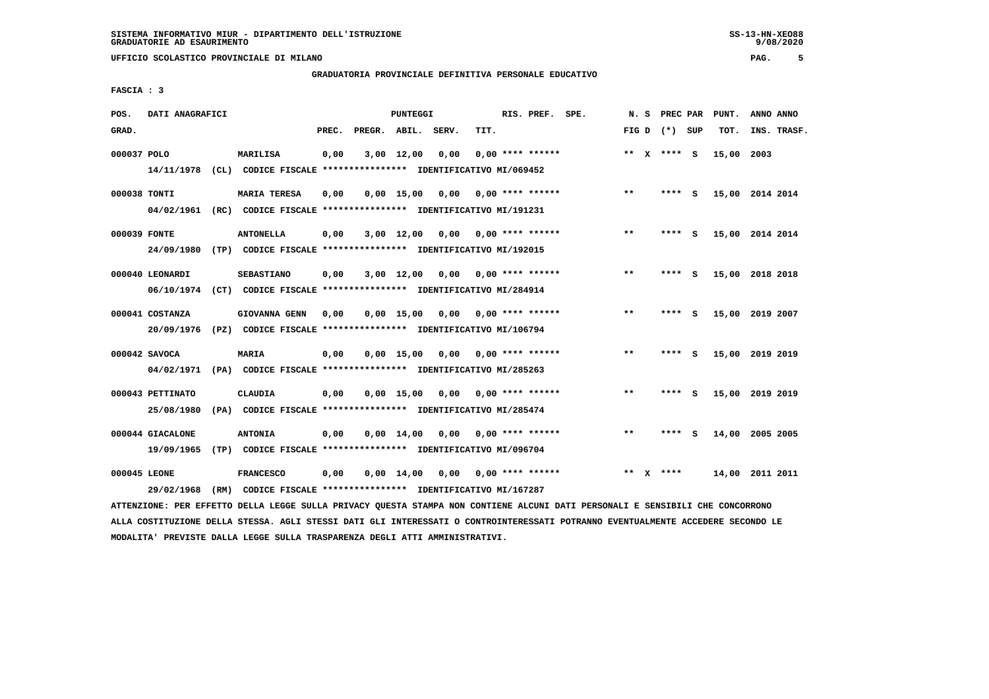# **GRADUATORIA PROVINCIALE DEFINITIVA PERSONALE EDUCATIVO**

 $9/08/2020$ 

 **FASCIA : 3**

| POS.         | DATI ANAGRAFICI  |      |                                                                         |       |                    | <b>PUNTEGGI</b>    |      |      | RIS. PREF.                | SPE. |       | N.S | PREC PAR          |          | PUNT.      | ANNO ANNO       |
|--------------|------------------|------|-------------------------------------------------------------------------|-------|--------------------|--------------------|------|------|---------------------------|------|-------|-----|-------------------|----------|------------|-----------------|
| GRAD.        |                  |      |                                                                         | PREC. | PREGR. ABIL. SERV. |                    |      | TIT. |                           |      |       |     | FIG $D$ $(*)$ SUP |          | TOT.       | INS. TRASF.     |
| 000037 POLO  |                  |      | MARILISA                                                                | 0,00  |                    | 3,00 12,00         | 0,00 |      | $0.00$ **** ******        |      |       |     | ** x **** S       |          | 15,00 2003 |                 |
|              | 14/11/1978       |      | (CL) CODICE FISCALE **************** IDENTIFICATIVO MI/069452           |       |                    |                    |      |      |                           |      |       |     |                   |          |            |                 |
| 000038 TONTI |                  |      | <b>MARIA TERESA</b>                                                     | 0,00  |                    | $0,00$ 15,00       | 0,00 |      | $0.00$ **** ******        |      | $* *$ |     | ****              | - S      |            | 15,00 2014 2014 |
|              | 04/02/1961       |      | (RC) CODICE FISCALE **************** IDENTIFICATIVO MI/191231           |       |                    |                    |      |      |                           |      |       |     |                   |          |            |                 |
| 000039 FONTE |                  |      | <b>ANTONELLA</b>                                                        | 0,00  |                    | $3,00$ 12,00       | 0,00 |      | $0.00$ **** ******        |      | **    |     | ****              | - S      |            | 15,00 2014 2014 |
|              | 24/09/1980       |      | (TP) CODICE FISCALE **************** IDENTIFICATIVO MI/192015           |       |                    |                    |      |      |                           |      |       |     |                   |          |            |                 |
|              | 000040 LEONARDI  |      | <b>SEBASTIANO</b>                                                       | 0,00  |                    | $3,00$ 12,00       | 0.00 |      | $0.00$ **** ******        |      | $* *$ |     | ****              | s.       |            | 15,00 2018 2018 |
|              |                  |      | 06/10/1974 (CT) CODICE FISCALE *************** IDENTIFICATIVO MI/284914 |       |                    |                    |      |      |                           |      |       |     |                   |          |            |                 |
|              | 000041 COSTANZA  |      | <b>GIOVANNA GENN</b>                                                    | 0,00  |                    | $0.00$ 15.00       | 0,00 |      | $0.00$ **** ******        |      | $* *$ |     | **** S            |          |            | 15,00 2019 2007 |
|              | 20/09/1976       |      | (PZ) CODICE FISCALE **************** IDENTIFICATIVO MI/106794           |       |                    |                    |      |      |                           |      |       |     |                   |          |            |                 |
|              | 000042 SAVOCA    |      | <b>MARIA</b>                                                            | 0,00  |                    | 0.00 15.00         | 0.00 |      | $0.00$ **** ******        |      | $* *$ |     | ****              | <b>S</b> |            | 15,00 2019 2019 |
|              | 04/02/1971       |      | (PA) CODICE FISCALE **************** IDENTIFICATIVO MI/285263           |       |                    |                    |      |      |                           |      |       |     |                   |          |            |                 |
|              | 000043 PETTINATO |      | <b>CLAUDIA</b>                                                          | 0,00  |                    | $0,00$ 15,00       | 0.00 |      | $0.00$ **** ******        |      | $* *$ |     | ****              | - S      |            | 15,00 2019 2019 |
|              | 25/08/1980       |      | (PA) CODICE FISCALE **************** IDENTIFICATIVO MI/285474           |       |                    |                    |      |      |                           |      |       |     |                   |          |            |                 |
|              | 000044 GIACALONE |      | <b>ANTONIA</b>                                                          | 0,00  |                    | $0,00 \quad 14,00$ | 0.00 |      | 0,00 **** ******          |      | $* *$ |     | ****              | S.       | 14,00      | 2005 2005       |
|              | 19/09/1965       | (TP) | CODICE FISCALE **************** IDENTIFICATIVO MI/096704                |       |                    |                    |      |      |                           |      |       |     |                   |          |            |                 |
| 000045 LEONE |                  |      | <b>FRANCESCO</b>                                                        | 0,00  |                    | $0,00 \quad 14,00$ |      |      | $0,00$ $0,00$ **** ****** |      | $* *$ | x   | ****              |          |            | 14,00 2011 2011 |
|              | 29/02/1968       | (RM) | CODICE FISCALE **************** IDENTIFICATIVO MI/167287                |       |                    |                    |      |      |                           |      |       |     |                   |          |            |                 |

 **ATTENZIONE: PER EFFETTO DELLA LEGGE SULLA PRIVACY QUESTA STAMPA NON CONTIENE ALCUNI DATI PERSONALI E SENSIBILI CHE CONCORRONO ALLA COSTITUZIONE DELLA STESSA. AGLI STESSI DATI GLI INTERESSATI O CONTROINTERESSATI POTRANNO EVENTUALMENTE ACCEDERE SECONDO LE MODALITA' PREVISTE DALLA LEGGE SULLA TRASPARENZA DEGLI ATTI AMMINISTRATIVI.**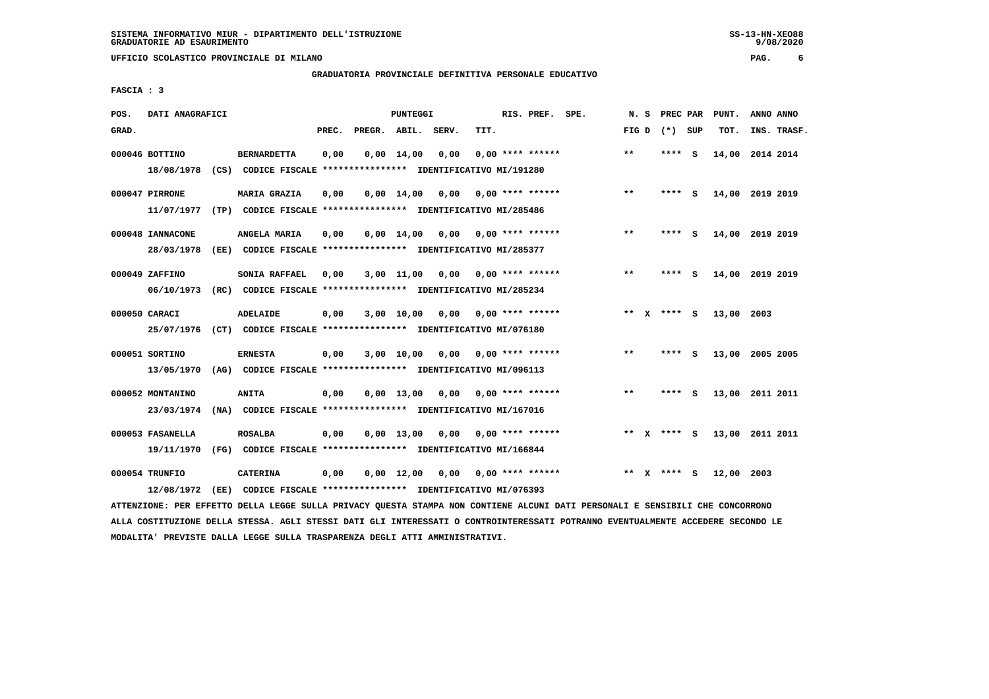### **GRADUATORIA PROVINCIALE DEFINITIVA PERSONALE EDUCATIVO**

 **FASCIA : 3**

| POS.  | DATI ANAGRAFICI  |      |                                                               |       |                    | PUNTEGGI           |      |                           | RIS. PREF. SPE. | N.S   |    |                 |     | PREC PAR PUNT. | ANNO ANNO       |
|-------|------------------|------|---------------------------------------------------------------|-------|--------------------|--------------------|------|---------------------------|-----------------|-------|----|-----------------|-----|----------------|-----------------|
| GRAD. |                  |      |                                                               | PREC. | PREGR. ABIL. SERV. |                    |      | TIT.                      |                 |       |    | FIG D $(*)$ SUP |     | TOT.           | INS. TRASF.     |
|       | 000046 BOTTINO   |      | <b>BERNARDETTA</b>                                            | 0,00  |                    | $0,00 \quad 14,00$ | 0,00 | $0.00$ **** ******        |                 | $* *$ |    | ****            | - S |                | 14,00 2014 2014 |
|       | 18/08/1978       | (CS) | CODICE FISCALE **************** IDENTIFICATIVO MI/191280      |       |                    |                    |      |                           |                 |       |    |                 |     |                |                 |
|       | 000047 PIRRONE   |      | <b>MARIA GRAZIA</b>                                           | 0,00  |                    | $0,00$ 14,00       | 0,00 | $0.00$ **** ******        |                 | $***$ |    | ****            | - S |                | 14,00 2019 2019 |
|       | 11/07/1977       |      | (TP) CODICE FISCALE **************** IDENTIFICATIVO MI/285486 |       |                    |                    |      |                           |                 |       |    |                 |     |                |                 |
|       | 000048 IANNACONE |      | ANGELA MARIA                                                  | 0,00  |                    | $0,00$ 14,00       | 0,00 | 0,00 **** ******          |                 | $***$ |    | ****            | - S | 14,00          | 2019 2019       |
|       | 28/03/1978       |      | (EE) CODICE FISCALE **************** IDENTIFICATIVO MI/285377 |       |                    |                    |      |                           |                 |       |    |                 |     |                |                 |
|       | 000049 ZAFFINO   |      | SONIA RAFFAEL                                                 | 0.00  |                    | 3,00 11,00         |      | $0,00$ $0,00$ **** ****** |                 | $* *$ |    | ****            | - S |                | 14,00 2019 2019 |
|       | 06/10/1973       |      | (RC) CODICE FISCALE **************** IDENTIFICATIVO MI/285234 |       |                    |                    |      |                           |                 |       |    |                 |     |                |                 |
|       | 000050 CARACI    |      | ADELAIDE                                                      | 0,00  |                    | 3,00 10,00         | 0,00 | 0,00 **** ******          |                 |       |    | ** $X$ **** S   |     | 13,00 2003     |                 |
|       | 25/07/1976       |      | (CT) CODICE FISCALE **************** IDENTIFICATIVO MI/076180 |       |                    |                    |      |                           |                 |       |    |                 |     |                |                 |
|       |                  |      |                                                               |       |                    |                    |      |                           |                 | $***$ |    |                 |     |                |                 |
|       | 000051 SORTINO   |      | <b>ERNESTA</b>                                                | 0,00  |                    | 3,00 10,00         | 0,00 | $0.00$ **** ******        |                 |       |    | ****            | - S |                | 13,00 2005 2005 |
|       | 13/05/1970       |      | (AG) CODICE FISCALE **************** IDENTIFICATIVO MI/096113 |       |                    |                    |      |                           |                 |       |    |                 |     |                |                 |
|       | 000052 MONTANINO |      | <b>ANITA</b>                                                  | 0,00  |                    | $0.00$ 13.00       | 0.00 | $0.00$ **** ******        |                 | $***$ |    | ****            | - S |                | 13,00 2011 2011 |
|       | 23/03/1974       |      | (NA) CODICE FISCALE **************** IDENTIFICATIVO MI/167016 |       |                    |                    |      |                           |                 |       |    |                 |     |                |                 |
|       | 000053 FASANELLA |      | <b>ROSALBA</b>                                                | 0,00  |                    | $0,00 \quad 13,00$ | 0.00 | 0,00 **** ******          |                 |       |    | ** x **** S     |     |                | 13,00 2011 2011 |
|       | 19/11/1970       |      | (FG) CODICE FISCALE **************** IDENTIFICATIVO MI/166844 |       |                    |                    |      |                           |                 |       |    |                 |     |                |                 |
|       | 000054 TRUNFIO   |      | <b>CATERINA</b>                                               | 0,00  |                    | $0,00 \quad 12,00$ | 0,00 | $0.00$ **** ******        |                 | $* *$ | X. | **** S          |     | 12,00 2003     |                 |
|       |                  |      |                                                               |       |                    |                    |      |                           |                 |       |    |                 |     |                |                 |

 **ATTENZIONE: PER EFFETTO DELLA LEGGE SULLA PRIVACY QUESTA STAMPA NON CONTIENE ALCUNI DATI PERSONALI E SENSIBILI CHE CONCORRONO ALLA COSTITUZIONE DELLA STESSA. AGLI STESSI DATI GLI INTERESSATI O CONTROINTERESSATI POTRANNO EVENTUALMENTE ACCEDERE SECONDO LE MODALITA' PREVISTE DALLA LEGGE SULLA TRASPARENZA DEGLI ATTI AMMINISTRATIVI.**